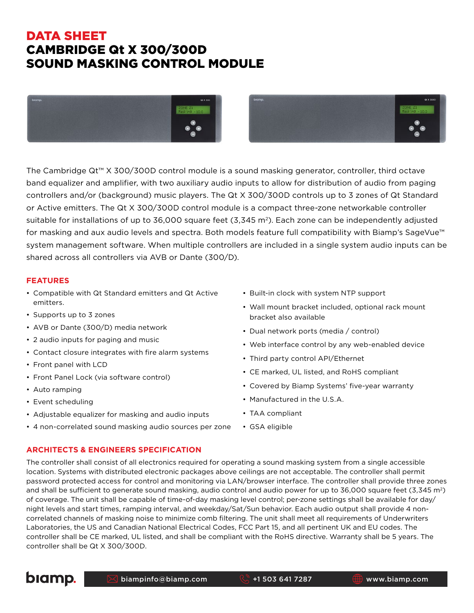# DATA SHEET CAMBRIDGE Qt X 300/300D SOUND MASKING CONTROL MODULE





The Cambridge Qt™ X 300/300D control module is a sound masking generator, controller, third octave band equalizer and amplifier, with two auxiliary audio inputs to allow for distribution of audio from paging controllers and/or (background) music players. The Qt X 300/300D controls up to 3 zones of Qt Standard or Active emitters. The Qt X 300/300D control module is a compact three-zone networkable controller suitable for installations of up to 36,000 square feet  $(3,345 \text{ m}^2)$ . Each zone can be independently adjusted for masking and aux audio levels and spectra. Both models feature full compatibility with Biamp's SageVue<sup>™</sup> system management software. When multiple controllers are included in a single system audio inputs can be shared across all controllers via AVB or Dante (300/D).

#### **FEATURES**

- Compatible with Qt Standard emitters and Qt Active emitters.
- Supports up to 3 zones
- AVB or Dante (300/D) media network
- 2 audio inputs for paging and music
- Contact closure integrates with fire alarm systems
- Front panel with LCD
- Front Panel Lock (via software control)
- Auto ramping
- Event scheduling
- Adjustable equalizer for masking and audio inputs
- 4 non-correlated sound masking audio sources per zone

#### **ARCHITECTS & ENGINEERS SPECIFICATION**

- Built-in clock with system NTP support
- Wall mount bracket included, optional rack mount bracket also available
- Dual network ports (media / control)
- Web interface control by any web-enabled device
- Third party control API/Ethernet
- CE marked, UL listed, and RoHS compliant
- Covered by Biamp Systems' five-year warranty
- Manufactured in the U.S.A.
- TAA compliant
- The controller shall consist of all electronics required for operating a sound masking system from a single accessible location. Systems with distributed electronic packages above ceilings are not acceptable. The controller shall permit password protected access for control and monitoring via LAN/browser interface. The controller shall provide three zones and shall be sufficient to generate sound masking, audio control and audio power for up to 36,000 square feet (3,345 m<sup>2</sup>) of coverage. The unit shall be capable of time-of-day masking level control; per-zone settings shall be available for day/ night levels and start times, ramping interval, and weekday/Sat/Sun behavior. Each audio output shall provide 4 noncorrelated channels of masking noise to minimize comb filtering. The unit shall meet all requirements of Underwriters Laboratories, the US and Canadian National Electrical Codes, FCC Part 15, and all pertinent UK and EU codes. The controller shall be CE marked, UL listed, and shall be compliant with the RoHS directive. Warranty shall be 5 years. The controller shall be Qt X 300/300D.



• GSA eligible